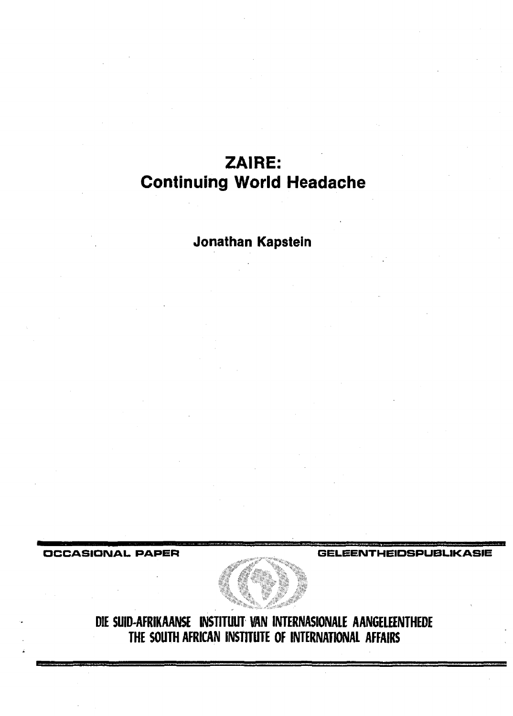# **ZAIRE: Continuing World Headache**

**Jonathan Kapstein**

**OCCASIONAL. PAPER GELEENTHEIDSPUBLIKASIE** 



DIE SUID-AFRIKAANSE INSTITUUT VAN INTERNASIONALE AANGELEENTHEDE **THE SOUTH AFRICAN INSTITUTE OF INTERNATIONAL AFFAIRS**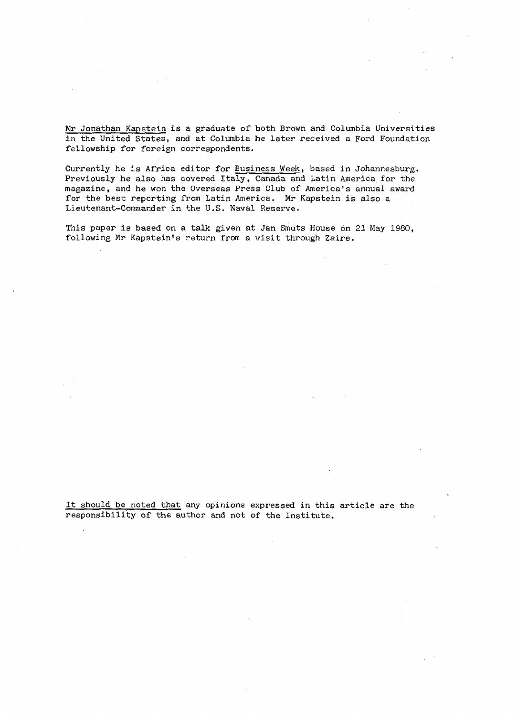Mr Jonathan Kapstein is a graduate of both Brown and Columbia Universities in the United States, and at Columbia he later received a Ford Foundation fellowship for foreign correspondents.

Currently he is Africa editor for Business Week, based in Johannesburg. Previously he also has covered Italy, Canada and Latin America for the magazine, and he won the Overseas Press Club of America's annual award for the best reporting from Latin America. Mr Kapstein is also a Lieutenant-Commander in the U.S. Naval Reserve.

This paper is based on a talk given at Jan Smuts House on 21 May 1980, following Mr Kapstein's return from a visit through Zaire.

It should be noted that any opinions expressed in this article are the responsibility of the author and not of the Institute.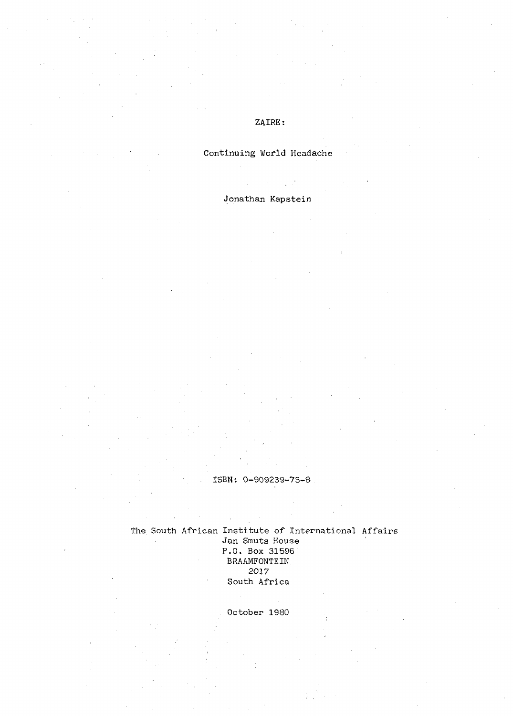#### ZAIRE:

## Continuing World Headache

 $\sim 10$ 

### Jonathan Kapstein

ISBN: 0-909239-73-8

The South African Institute of International Affairs Jan Smuts House  $\sim$ P.O. Box 31596 BRAAMFONTEIN 2017 South Africa

October 1980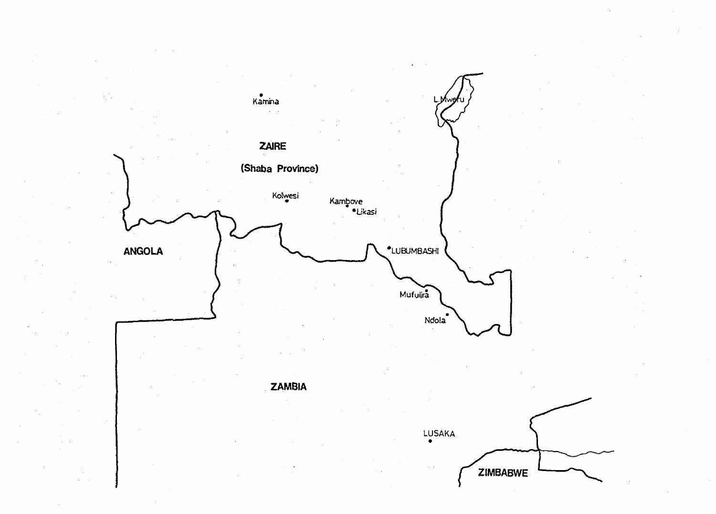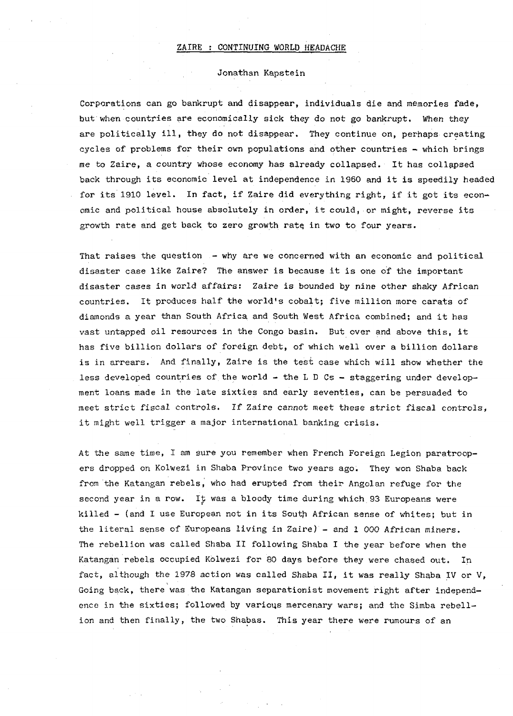#### ZAIRE : CONTINUING WORLD HEADACHE

#### Jonathan Kapstein

Corporations can go bankrupt and disappear, individuals die and memories fade, but when countries are economically sick they do not go bankrupt. When they are politically ill, they do not disappear. They continue on, perhaps creating cycles of problems for their own populations and other countries - which brings me to Zaire, a country whose economy has already collapsed. It has collapsed back through its economic level at independence in 1960 and it is speedily headed for its 1910 level. In fact, if Zaire did everything right, if it got its economic and political house absolutely in order, it could, or might, reverse its growth rate and get back to zero growth rate, in two to four years.

That raises the question - why are we concerned with an economic and political disaster case like Zaire? The answer is because it is one of the important disaster cases in world affairs: Zaire is bounded by nine other shaky African countries. It produces half the world's cobalt; five million more carats of diamonds a year than South Africa and South West Africa combined; and it has vast untapped oil resources in the Congo basin. But over and above this, it has five billion dollars of foreign debt, of which well over a billion dollars is in arrears. And finally, Zaire is the test case which will show whether the less developed countries of the world  $-$  the L D Cs  $-$  staggering under development loans made in the late sixties and early seventies, can be persuaded to meet strict fiscal controls. If Zaire cannot meet these strict fiscal controls, it might well trigger a major international banking crisis.

At the same time, I am sure you remember when French Foreign Legion paratroopers dropped on Kolwezi in Shaba Province two years ago. They won Shaba back from the Katangan rebels, who had erupted from their Angolan refuge for the second year in a row. It was a bloody time during which 93 Europeans were killed - (and I use European not in its South African sense of whites; but in the literal sense of Europeans living in Zaire) - and 1 000 African miners. The rebellion was called Shaba II following Shaba I the year before when the Katangan rebels occupied Kolwezi for 80 days before they were chased out. In fact, although the 1978 action was called Shaba II, it was really Shaba IV or V, Going back, there was the Katangan separationist movement right after independence in the sixties; followed by various mercenary wars; and the Simba rebellion and then finally, the two Shabas. This year there were rumours of an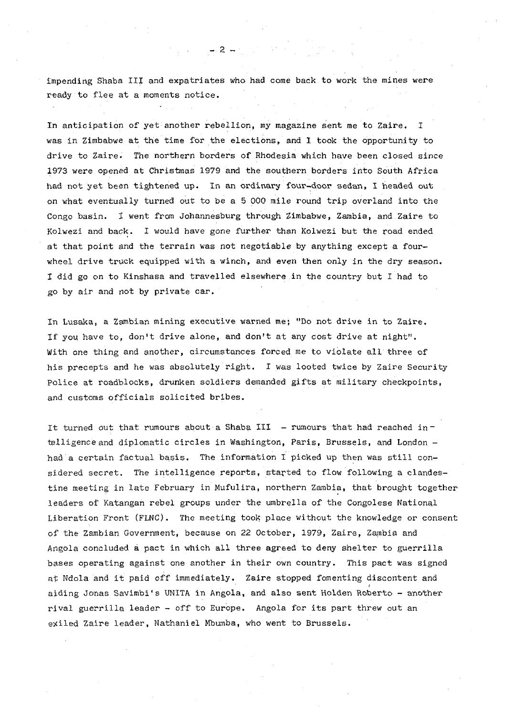Impending Shaba III and expatriates who had come back to work the mines were ready to flee at a moments notice.

 $- 2 -$ 

In anticipation of yet another rebellion, my magazine sent me to Zaire. I was in Zimbabwe at the time for the elections, and I took the opportunity to drive to Zaire. The northern borders of Rhodesia which have been closed since 1973 were opened at Christmas 1979 and the southern borders into South Africa had not yet been tightened up. In an ordinary four-door sedan, I headed out on what eventually turned out to be a 5 000 mile round trip overland into the Congo basin. I went from Johannesburg through Zimbabwe, Zambia, and Zaire to Kolwezi and back. I would have gone further than Kolwezi but the road ended at that point and the terrain was not negotiable by anything except a fourwheel drive truck equipped with a winch, and even then only in the dry season. I did go on to Kinshasa and travelled elsewhere in the country but I had to go by air and not by private car.

In Lusaka, a Zambian mining executive warned me; "Do not drive in to Zaire. If you have to, don't drive alone, and don't at any cost drive at night". With one thing and another, circumstances forced me to violate all three of his precepts and he was absolutely right. I was looted twice by Zaire Security Police at roadblocks, drunken soldiers demanded gifts at military checkpoints, and customs officials solicited bribes.

It turned out that rumours about a Shaba III - rumours that had reached intelligence and diplomatic circles in Washington, Paris, Brussels, and London had a certain factual basis. The information I picked up then was still considered secret. The intelligence reports, started to flow following a clandestine meeting in late February in Mufulira, northern Zambia, that brought together leaders of Katangan rebel groups under the umbrella of the Congolese National Liberation Front (FLNC). The meeting took place without the knowledge or consent of the Zambian Government, because on 22 October, 1979, Zaire, Zambia and Angola concluded a pact in which all three agreed to deny shelter to guerrilla bases operating against one another in their own country. This pact was signed at Ndola and it paid off immediately. Zaire stopped fomenting discontent and aiding Jonas Savimbi's UNITA in Angola, and also sent Holden Roberto - another rival guerrilla leader - off to Europe. Angola for its part threw out an exiled Zaire leader, Nathaniel Mbumba, who went to Brussels.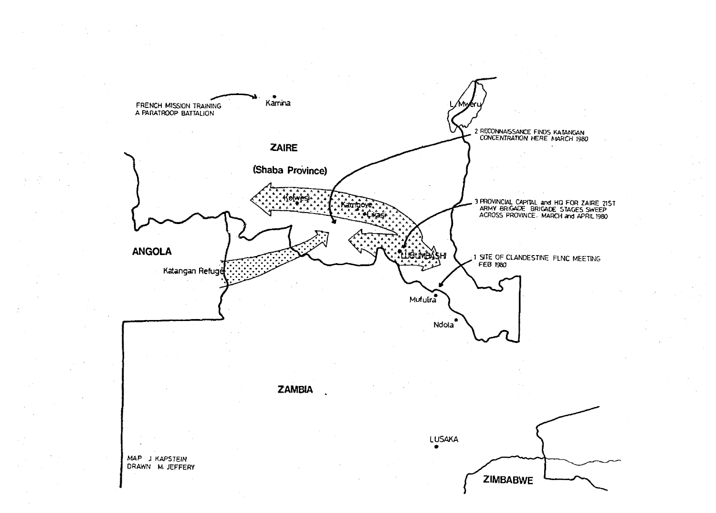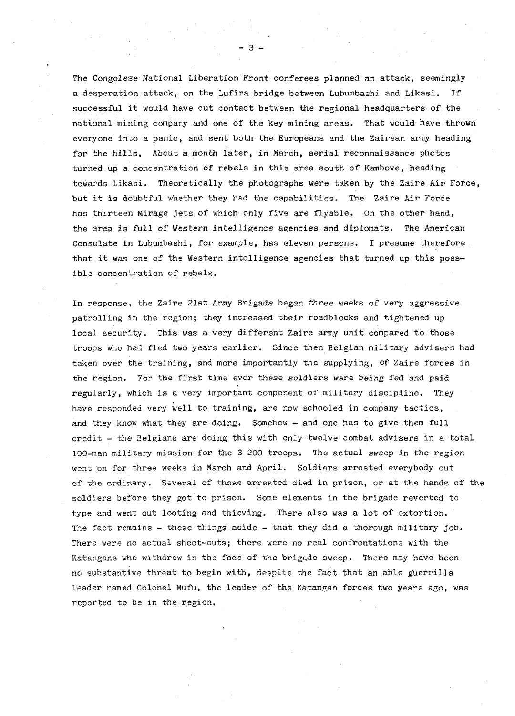The Congolese National Liberation Front conferees planned an attack, seemingly a desperation attack, on the Lufira bridge between Lubumbashi and Likasi. If successful it would have cut contact between the regional headquarters of the national mining company and one of the key mining areas. That would have thrown everyone into a panic, and sent both the Europeans and the Zairean army heading for the hills. About a month later, in March, aerial reconnaissance photos turned up a concentration of rebels in this area south of Kambove, heading towards Likasi. Theoretically the photographs were taken by the Zaire Air Force, but it is doubtful whether they had the capabilities. The Zaire Air Force has thirteen Mirage jets of which only five are flyable. On the other hand, the area is full of Western intelligence agencies and diplomats. The American Consulate in Lubumbashi, for example, has eleven persons. I presume therefore that it was one of the Western intelligence agencies that turned up this possible concentration of rebels.

In response, the Zaire 21st Army Brigade began three weeks of very aggressive patrolling in the region; they increased their roadblocks and tightened up local security. This was a very different Zaire army unit compared to those troops who had fled two years earlier. Since then Belgian military advisers had taken over the training, and more importantly the supplying, of Zaire forces in the region. For the first time ever these soldiers were being fed and paid regularly, which is a very important component of military discipline. They have responded very well to training, are now schooled in company tactics, and they know what they are doing. Somehow - and one has to give them full credit - the Belgians are doing this with only twelve combat advisers in a total 100-man military mission for the 3 200 troops. The actual sweep in the region went on for three weeks in March and April. Soldiers arrested everybody out of the ordinary. Several of those arrested died in prison, or at the hands of the soldiers before they got to prison. Some elements in the brigade reverted to type and went out looting and thieving. There also was a lot of extortion. The fact remains - these things aside - that they did a thorough military job. There were no actual shoot-outs; there were no real confrontations with the Katangans who withdrew in the face of the brigade sweep. There may have been no substantive threat to begin with, despite the fact that an able guerrilla leader named Colonel Mufu, the leader of the Katangan forces two years ago, was reported to be in the region.

 $\mathbf{B}$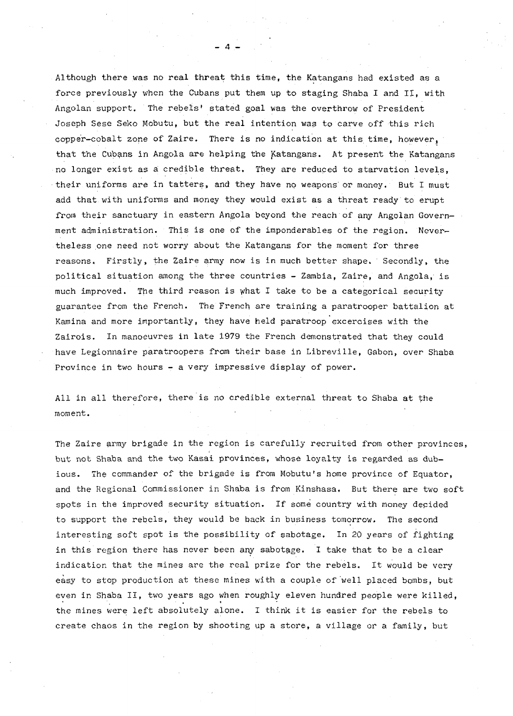Although there was no real threat this time, the Katangans had existed as a force previously when the Cubans put them up to staging Shaba I and II, with Angolan support. The rebels' stated goal was the overthrow of President Joseph Sese Seko Mobutu, but the real intention was to carve off this rich copper-cobalt zone of Zaire. There is no indication at this time, however, that the Cubans in Angola are helping the Katangans. At present the Katangans no longer exist as a credible threat. They are reduced to starvation levels, their uniforms are in tatters, and they have no weapons or money. But I must add that with uniforms and money they would exist as a threat ready to erupt from their sanctuary in eastern Angola beyond the reach of any Angolan Government administration. This is one of the imponderables of the region. Nevertheless one need not worry about the Katangans for the moment for three reasons. Firstly, the Zaire army now is in much better shape. Secondly, the political situation among the three countries - Zambia, Zaire, and Angola, is much improved. The third reason is what I take to be a categorical security guarantee from the French. The French are training a paratrooper battalion at Kamina and more importantly, they have held paratroop excercises with the Zairois. In manoeuvres in late 1979 the French demonstrated that they could have Legionnaire paratroopers from their base in Libreville, Gabon, over Shaba Province in two hours  $-$  a very impressive display of power.

All in all therefore, there is no credible external threat to Shaba at the moment.

The Zaire army brigade in the region is carefully recruited from other provinces, but not Shaba and the two Kasai provinces, whose loyalty is regarded as dubious. The commander of the brigade is from Mobutu's home province of Equator, and the Regional Commissioner in Shaba is from Kinshasa, But there are two soft spots in the improved security situation. If some country with money depided to support the rebels, they would be back in business tomorrow. The second interesting soft spot is the possibility of sabotage. In 20 years of fighting in this region there has never been any sabotage. I take that to be a clear indication that the mines are the real prize for the rebels. It would be very easy to stop production at these mines with a couple of'well placed bombs, but even in Shaba II, two years ago when roughly eleven hundred people were killed, the mines were left absolutely alone. I think it is easier for the rebels to create chaos in the region by shooting up a store, a village or a family, but

 $\overline{A}$  -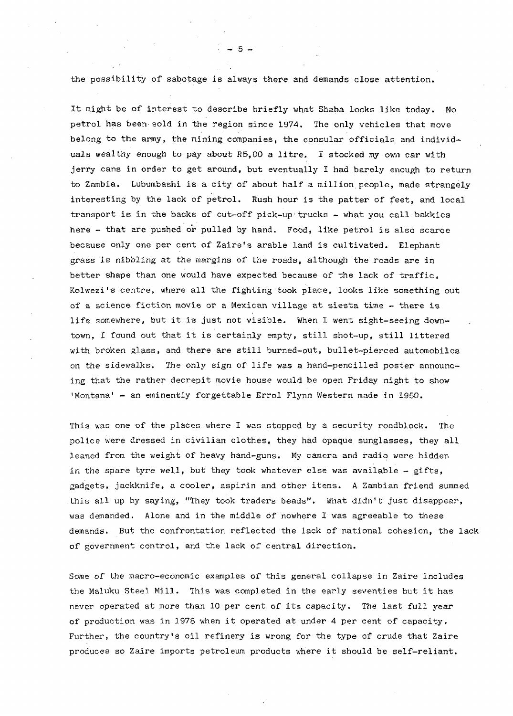the possibility of sabotage is always there and demands close attention.

It might be of interest to describe briefly what Shaba looks like today. No petrol has been sold in the region since 1974, The only vehicles that move belong to the army, the mining companies, the consular officials and individuals wealthy enough to pay about R5,00 a litre. I stocked my own car with jerry cans in order to get around, but eventually I had barely enough to return to Zambia. Lubumbashi is a city of about half a million people, made strangely interesting by the lack of petrol. Rush hour is the patter of feet, and local transport is in the backs of cut-off pick-up trucks - what you call bakkies here - that are pushed or pulled by hand. Food, like petrol is also scarce because only one per cent of Zaire's arable land is cultivated. Elephant grass is nibbling at the margins of the roads, although the roads are in better shape than one would have expected because of the lack of traffic. Kolwezi's centre, where all the fighting took place, looks like something out of a science fiction movie or a Mexican village at siesta time - there is life somewhere, but it is just not visible. When I went sight-seeing downtown, I found out that it is certainly empty, still shot-up, still littered with broken glass, and there are still burned-out, bullet-pierced automobiles on the sidewalks. The only sign of life was a hand-pencilled poster announcing that the rather decrepit movie house would be open Friday night to show 'Montana' - an eminently forgettable Errol Flynn Western made in 1950.

This was one of the places where I was stopped by a security roadblock. The police were dressed in civilian clothes, they had opaque sunglasses, they all leaned from the weight of heavy hand-guns. My camera and radio were hidden in the spare tyre well, but they took whatever else was available  $-$  gifts, gadgets, jackknife, a cooler, aspirin and other items. A Zambian friend summed this all up by saying, "They took traders beads". What didn't just disappear, was demanded. Alone and in the middle of nowhere I was agreeable to these demands. But the confrontation reflected the lack of national cohesion, the lack of government control, and the lack of central direction.

Some of the macro-economic examples of this general collapse in Zaire includes the Maluku Steel Mill. This was completed in the early seventies but it has never operated at more than 10 per cent of its capacity. The last full year of production was in 1978 when it operated at under 4 per cent of capacity. Further, the country's oil refinery is wrong for the type of crude that Zaire produces so Zaire imports petroleum products where it should be self-reliant.

 $-5$ .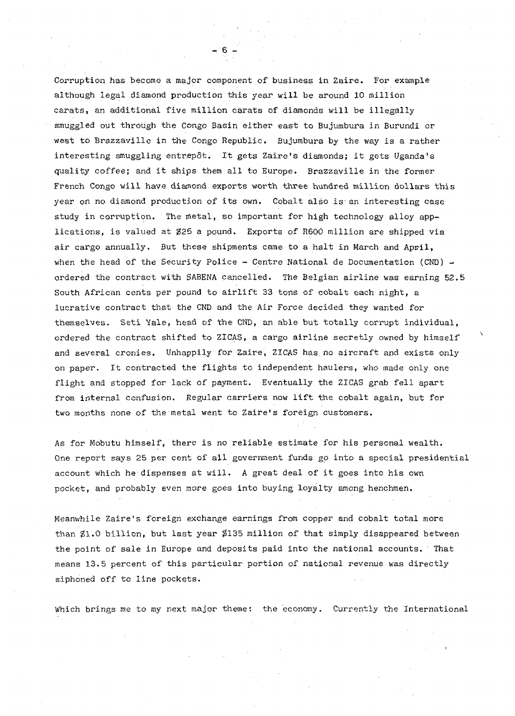Corruption has become a major component of business in Zaire. For example although legal diamond production this year will be around 10 million carats, an additional five million carats of diamonds will be illegally smuggled out through the Congo Basin either east to Bujumbura in Burundi or west to Brazzaville in the Congo Republic. Bujumbura by the way is a rather interesting smuggling entrepot. It gets Zaire's diamonds; it gets Uganda's quality coffee; and it ships them all to Europe. Brazzaville in the former French Congo will have diamond exports worth three hundred million dollars this year on no diamond production of its own. Cobalt also is an interesting case study in corruption. The metal, so important for high technology alloy applications, is valued at \$25 a pound. Exports of R600 million are shipped via air cargo annually. But these shipments came to a halt in March and April, when the head of the Security Police - Centre National de Documentation (CND) ordered the contract with SABENA cancelled. The Belgian airline was earning 52.5 South African cents per pound to airlift 33 tons of cobalt each night, a lucrative contract that the CND and the Air Force decided they wanted for themselves. Seti Yale, head of the CND, an able but totally corrupt individual, ordered the contract shifted to ZICAS, a cargo airline secretly owned by himself and several cronies. Unhappily for Zaire, ZICAS has,no aircraft and exists only on paper. It contracted the flights to independent haulers, who made only one flight and stopped for lack of payment. Eventually the ZICAS grab fell apart from internal confusion. Regular carriers now lift the cobalt again, but for two months none of the metal went to Zaire's foreign customers.

- 6 -

As for Mobutu himself, there is no reliable estimate for his personal wealth. One report says 25 per cent of all government funds go into a special presidential account which he dispenses at will. A great deal of it goes into his own pocket, and probably even more goes into buying loyalty among henchmen.

Meanwhile Zaire's foreign exchange earnings from copper and cobalt total more than \$1.0 billion, but last year \$135 million of that simply disappeared between the point of sale in Europe and deposits paid into the national accounts. ' That means 13.5 percent of this particular portion of national revenue was directly siphoned off to line pockets.

Which brings me to my next major theme: the economy. Currently the International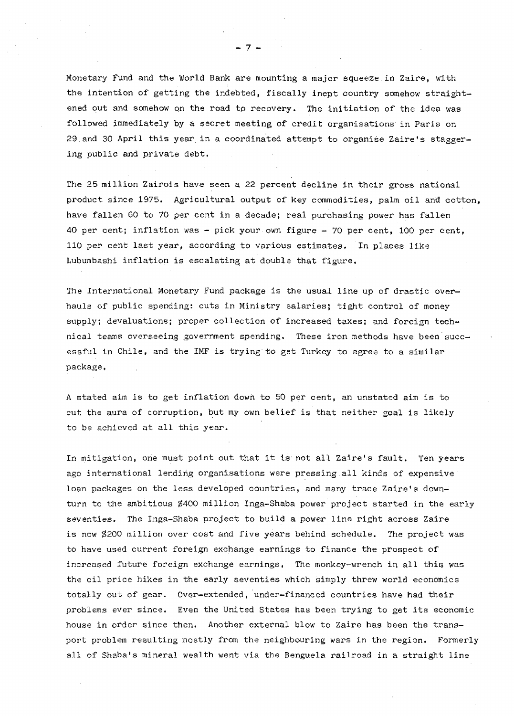Monetary Fund and the World Bank are mounting a major squeeze in Zaire, with the intention of getting the indebted, fiscally inept country somehow straightened out and somehow on the road to recovery. The initiation of the idea was followed immediately by a secret meeting of credit organisations in Paris on 29 and 30 April this year in a coordinated attempt to organise Zaire's staggering public and private debt.

The 25 million Zairois have seen a 22 percent decline in their gross national product since 1975. Agricultural output of key commodities, palm oil and cotton, have fallen 60 to 70 per cent in a decade; real purchasing power has fallen 40 per cent; inflation was - pick your own figure - 70 per cent, 100 per cent, 110 per cent last year, according to various estimates. In places like Lubumbashi inflation is escalating at double that figure.

The International Monetary Fund package is the usual line up of drastic overhauls of public spending: cuts in Ministry salaries; tight control of money supply; devaluations; proper collection of increased taxes; and foreign technical teams overseeing government spending. These iron methods have been successful in Chile, and the IMF is trying to get Turkey to agree to a similar package,

A stated aim is to get inflation down to 50 per cent, an unstated aim is to cut the aura of corruption, but my own belief is that neither goal is likely to be achieved at all this year.

In mitigation, one must point out that it is not all Zaire's fault. Ten years ago international lending organisations were pressing all kinds of expensive loan packages on the less developed countries, and many trace Zaire's downturn to the ambitious \$400 million Inga-Shaba power project started in the early seventies. The Inga-Shaba project to build a power line right across Zaire is now \$200 million over cost and five years behind schedule. The project was to have used current foreign exchange earnings to finance the prospect of increased future foreign exchange earnings, The monkey-wrench in all this was the oil price hikes in the early seventies which simply threw world economics totally out of gear. Over-extended, under-financed countries have had their problems ever since, Even the United States has been trying to get its economic house in order since then. Another external blow to Zaire has been the transport problem resulting mostly from the neighbouring wars in the region. Formerly all of Shaba's mineral wealth went via the Benguela railroad in a straight line

- 7 -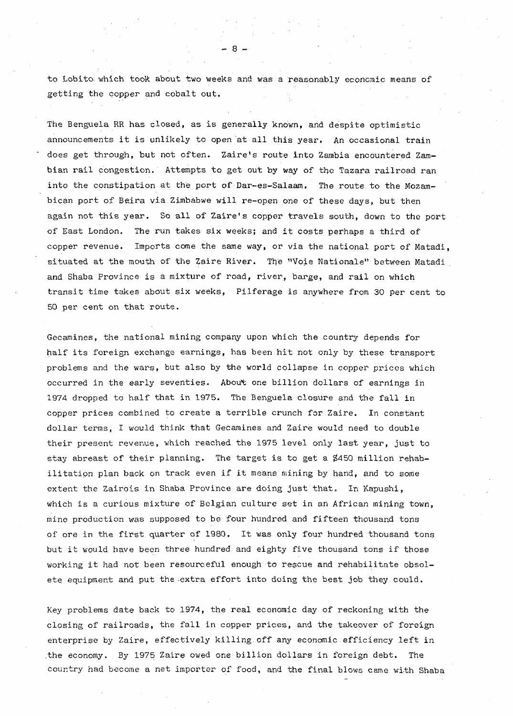to Lobito. which took about two weeks and was a reasonably economic means of getting the copper and cobalt out.

The Benguela RR has closed, as is generally known, and despite optimistic announcements it is unlikely to open at all this year. An occasional train does get through, but not often. Zaire's route into Zambia encountered Zambian rail congestion. Attempts to get out by way of the Tazara railroad ran into the constipation at the port of Dar-es-Salaam. The route to the Mozambican port of Beira via Zimbabwe will re-open one of these days, but then again not this year. So all of Zaire's copper travels south, down to the port of East London. The run takes six weeks; and it costs perhaps a third of copper revenue. Imports come the same way, or via the national port of Matadi, situated at the mouth of the Zaire River. The "Voie Nationale" between Matadi and Shaba Province is a mixture of road, river, barge, and rail on which transit time takes about six weeks, Pilferage is anywhere from 30 per cent to 50 per cent on that route.

Gecamines, the national mining company upon which the country depends for half its foreign exchange earnings, has been hit not only by these transport problems and the wars, but also by the world collapse in copper prices which occurred in the early seventies. About one billion dollars of earnings in 1974 dropped to half that in 1975. The Benguela closure and the fall in copper prices combined to create a terrible crunch for Zaire. In constant dollar terms, I would think that Gecamines and Zaire would need to double their present revenue, which reached the 1975 level only last year, just to stay abreast of their planning. The target is to get a \$450 million rehabilitation plan back on track even if it means mining by hand, and to some extent the Zairois in Shaba Province are doing just that. In Kapushi, which is a curious mixture of Belgian culture set in an African mining town, mine production was supposed to be four hundred and fifteen thousand tons of ore in the first quarter of 1980. It was only four hundred thousand tons but it would have been three hundred and eighty five thousand tons if those working it had not been resourceful enough to rescue and rehabilitate obsolete equipment and put the extra effort into doing the best job they could.

Key problems date back to 1974, the real economic day of reckoning with the closing of railroads, the fall in copper prices, and the takeover of foreign enterprise by Zaire, effectively killing.off any economic efficiency left in ,the economy. By 1975 Zaire owed one billion dollars in foreign debt. The country had become a net importer of food, and the final blows came with Shaba

- 8 -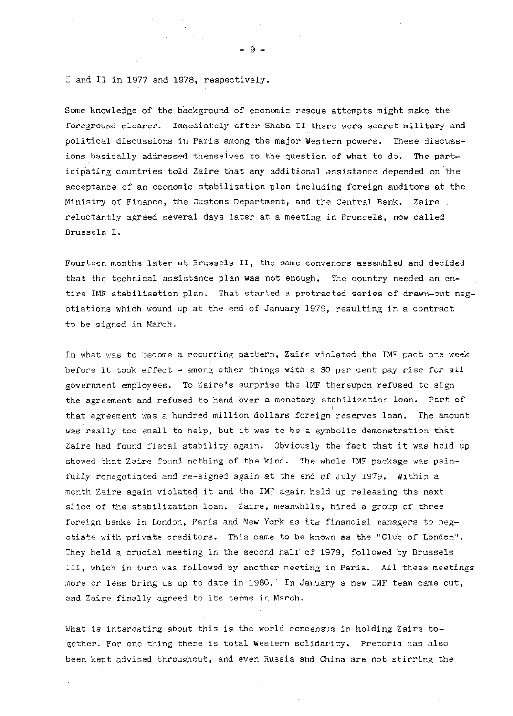I and II in 1977 and 1978, respectively.

Some knowledge of the background of economic rescue attempts might make the foreground clearer. Immediately after Shaba II there were secret military and political discussions in Paris among the major Western powers. These discussions basically addressed themselves to the question of what to do. The participating countries told Zaire that any additional assistance depended on the acceptance of an economic stabilisation plan including foreign auditors at the Ministry of Finance, the Customs Department, and the Central Bank. Zaire reluctantly agreed several days later at a meeting in Brussels, now called Brussels I.

Fourteen months later at Brussels II, the same convenors assembled and decided that the technical assistance plan was not enough. The country needed an entire IMF stabilisation plan. That started a protracted series of drawn-out negotiations which wound up at the end of January 1979, resulting in a contract to be signed in March.

In what was to become a recurring pattern, Zaire violated the IMF pact one week before it took effect - among other things with a 30 per cent pay rise for all government employees. To Zaire's surprise the IMF thereupon refused to sign the agreement and refused to hand over a monetary stabilization loan. Part of that agreement was a hundred million dollars foreign reserves loan. The amount was really too small to help, but it was to be a symbolic demonstration that Zaire had found fiscal stability again. Obviously the fact that it was held up showed that Zaire found nothing of the kind. The whole IMF package was painfully renegotiated and re-signed again at the end of July 1979. Within a month Zaire again violated it and the IMF again held up releasing the next slice of the stabilization loan. Zaire, meanwhile, hired a group of three foreign banks in London, Paris and New York as its financial managers to negotiate with private creditors. This came to be known as the "Club of London". They held a crucial meeting in the second half of 1979, followed by Brussels III, which in turn was followed by another meeting in Paris. All these meetings more or less bring us up to date in 1980. In January a new IMF team came out, and Zaire finally agreed to its terms in March.

What is interesting about this is the world concensus in holding Zaire together. For one thing there is total Western solidarity. Pretoria has also been kept advised throughout, and even Russia and China are not stirring the

 $^{\circ}$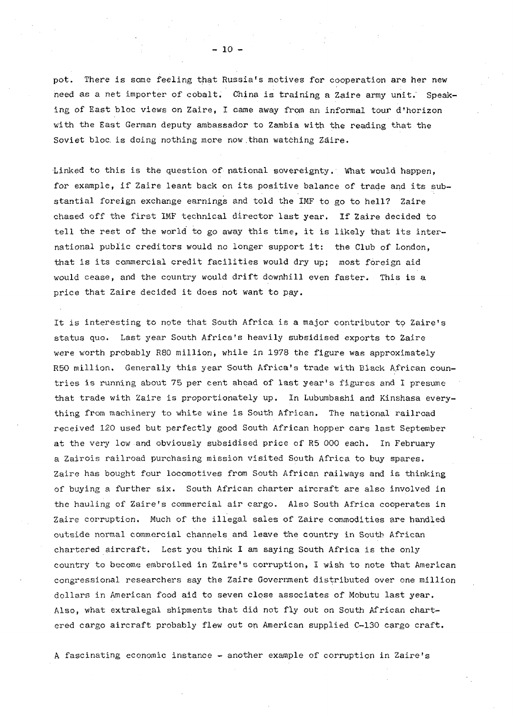pot. There is some feeling that Russia's motives for cooperation are her new need as a net importer of cobalt. China is training a Zaire army unit. Speaking of East bloc views on Zaire, I came away from an informal tour d'horizon with the East German deputy ambassador to Zambia with the reading that the Soviet bloc, is doing nothing more now.than watching Zaire.

Linked to this is the question of national sovereignty.' What would happen, for example, if Zaire leant back on its positive balance of trade and its substantial foreign exchange earnings and told the IMF to go to hell? Zaire chased off the first IMF technical director last year. If Zaire decided to tell the rest of the world to go away this time, it is likely that its international public creditors would no longer support it: the Club of London, that is its commercial credit facilities would dry up; most foreign aid would cease, and the country would drift downhill even faster. This is a price that Zaire decided it does not want to pay.

It is interesting to note that South Africa is a major contributor to Zaire's status quo. Last year South Africa's heavily subsidised exports to Zaire were worth probably R80 million, while in 1978 the figure was approximately R50 million. Generally this year South Africa's trade with Black African countries is running about 75 per cent ahead of last year's figures and I presume that trade with Zaire is proportionately up. In Lubumbashi and Kinshasa everything from machinery to white wine is South African. The national railroad received 120 used but perfectly good South African hopper cars last September at the very low and obviously subsidised price of R5 000 each. In February a Zairois railroad purchasing mission visited South Africa to buy spares. Zaire has bought four locomotives from South African railways and is thinking of buying a further six. South African charter aircraft are also involved in the hauling of Zaire's commercial air cargo. Also South Africa cooperates in Zaire corruption. Much of the illegal sales of Zaire commodities are handled outside normal commercial channels and leave the country in South African chartered aircraft. Lest you think I am saying South Africa is the only country to become embroiled in Zaire's corruption, I wish to note that American congressional researchers say the Zaire Government distributed over one million dollars in American food aid to seven close associates of Mobutu last year. Also, what extralegal shipments that did not fly out on South African chartered cargo aircraft probably flew out on American supplied C-130 cargo craft.

A fascinating economic instance - another example of corruption in Zaire's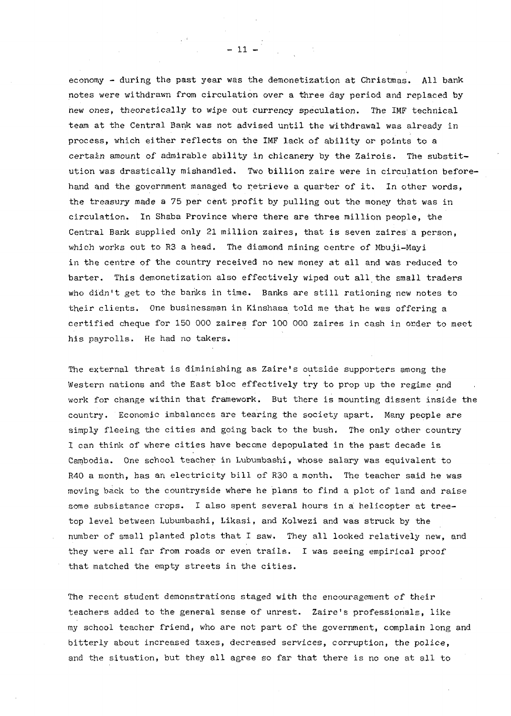economy - during the past year was the demonetization at Christmas. All bank notes were withdrawn from circulation over a three day period and replaced by new ones, theoretically to wipe out currency speculation. The IMF technical team at the Central Bank was not advised until the withdrawal was already in process, which either reflects on the IMF lack of ability or points to a certain amount of admirable ability in chicanery by the Zairois. The substitution was drastically mishandled. Two billion zaire were in circulation beforehand and the government managed to retrieve a quarter of it. In other words, the treasury made a 75 per cent profit by pulling out the money that was in circulation. In Shaba Province where there are three million people, the Central Bank supplied only 21 million zaires, that is seven zaires a person, which works out to R3 a head. The diamond mining centre of Mbuji-Mayi in the centre of the country received no new money at all and was reduced to barter. This demonetization also effectively wiped out all the small traders who didn't get to the banks in time. Banks are still rationing new notes to their clients. One businessman in Kinshasa told me that he was offering a certified cheque for 150 000 zaires for 100 000 zaires in cash in order to meet his payrolls. He had no takers.

The external threat is diminishing as Zaire's outside supporters among the Western nations and the East bloc effectively try to prop up the regime and work for change within that framework. But there is mounting dissent inside the country. Economic imbalances are tearing the society apart. Many people are simply fleeing the cities and going back to the bush. The only other country I can think of where cities have become depopulated in the past decade is Cambodia. One school teacher in Lubumbashi, whose salary was equivalent to R40 a month, has an electricity bill of R30 a month. The teacher said he was moving back to the countryside where he plans to find a plot of land and raise some subsistance crops. I also spent several hours in a helicopter at treetop level between Lubumbashi, Likasi, and Kolwezi and was struck by the number of small planted plots that I saw. They all looked relatively new, and they were all far from roads or even trails. I was seeing empirical proof that matched the empty streets in the cities.

The recent student demonstrations staged with the encouragement of their teachers added to the general sense of unrest. Zaire's professionals, like my school teacher friend, who are not part of the government, complain long and bitterly about increased taxes, decreased services, corruption, the police, and the situation, but they all agree so far that there is no one at all to

 $- 11 -$